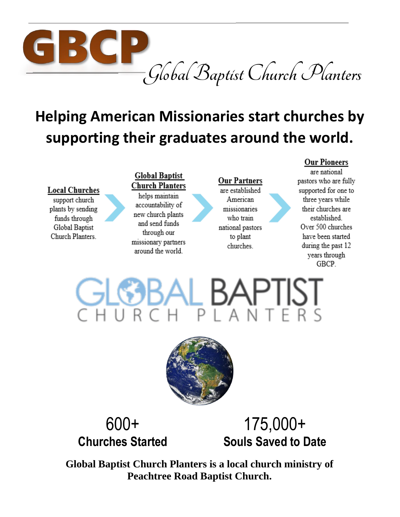

# **Helping American Missionaries start churches by supporting their graduates around the world.**

**Local Churches** support church plants by sending funds through Global Baptist Church Planters

### **Global Baptist Church Planters**

helps maintain accountability of new church plants and send funds through our missionary partners around the world.

**Our Partners** are established American missionaries who train national pastors to plant churches.

**Our Pioneers** 

are national pastors who are fully supported for one to three years while their churches are established. Over 500 churches have been started during the past 12 years through GBCP.





## 600+ **Churches Started**

175,000+ **Souls Saved to Date**

**Global Baptist Church Planters is a local church ministry of Peachtree Road Baptist Church.**